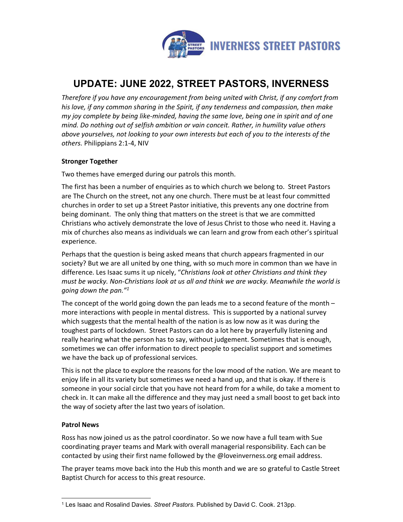

# UPDATE: JUNE 2022, STREET PASTORS, INVERNESS

Therefore if you have any encouragement from being united with Christ, if any comfort from his love, if any common sharing in the Spirit, if any tenderness and compassion, then make my joy complete by being like-minded, having the same love, being one in spirit and of one mind. Do nothing out of selfish ambition or vain conceit. Rather, in humility value others above yourselves, not looking to your own interests but each of you to the interests of the others. Philippians 2:1-4, NIV

## Stronger Together

Two themes have emerged during our patrols this month.

The first has been a number of enquiries as to which church we belong to. Street Pastors are The Church on the street, not any one church. There must be at least four committed churches in order to set up a Street Pastor initiative, this prevents any one doctrine from being dominant. The only thing that matters on the street is that we are committed Christians who actively demonstrate the love of Jesus Christ to those who need it. Having a mix of churches also means as individuals we can learn and grow from each other's spiritual experience.

Perhaps that the question is being asked means that church appears fragmented in our society? But we are all united by one thing, with so much more in common than we have in difference. Les Isaac sums it up nicely, "Christians look at other Christians and think they must be wacky. Non-Christians look at us all and think we are wacky. Meanwhile the world is going down the pan."1

 The concept of the world going down the pan leads me to a second feature of the month – more interactions with people in mental distress. This is supported by a national survey which suggests that the mental health of the nation is as low now as it was during the toughest parts of lockdown. Street Pastors can do a lot here by prayerfully listening and really hearing what the person has to say, without judgement. Sometimes that is enough, sometimes we can offer information to direct people to specialist support and sometimes we have the back up of professional services.

This is not the place to explore the reasons for the low mood of the nation. We are meant to enjoy life in all its variety but sometimes we need a hand up, and that is okay. If there is someone in your social circle that you have not heard from for a while, do take a moment to check in. It can make all the difference and they may just need a small boost to get back into the way of society after the last two years of isolation.

## Patrol News

Ross has now joined us as the patrol coordinator. So we now have a full team with Sue coordinating prayer teams and Mark with overall managerial responsibility. Each can be contacted by using their first name followed by the @loveinverness.org email address.

The prayer teams move back into the Hub this month and we are so grateful to Castle Street Baptist Church for access to this great resource.

<sup>&</sup>lt;sup>1</sup> Les Isaac and Rosalind Davies. *Street Pastors*. Published by David C. Cook. 213pp.